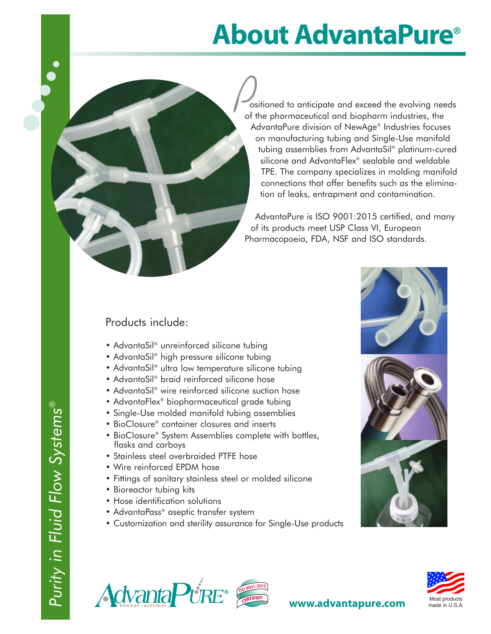## **About AdvantaPure®**

ositioned to anticipate and exceed the evolving needs of the pharmaceutical and biopharm industries, the AdvantaPure division of NewAge® Industries focuses on manufacturing tubing and Single-Use manifold tubing assemblies from AdvantaSil® platinum-cured silicone and AdvantaFlex® sealable and weldable TPE. The company specializes in molding manifold connections that offer benefits such as the elimination of leaks, entrapment and contamination.  $\frac{1}{\sqrt{\frac{1}{1}}\sqrt{\frac{1}{1}}}}$ 

AdvantaPure is ISO 9001:2015 certified, and many of its products meet USP Class VI, European Pharmacopoeia, FDA, NSF and ISO standards.

## Products include:

- AdvantaSil® unreinforced silicone tubing
- AdvantaSil® high pressure silicone tubing
- AdvantaSil® ultra low temperature silicone tubing
- AdvantaSil® braid reinforced silicone hose
- AdvantaSil® wire reinforced silicone suction hose
- AdvantaFlex® biopharmaceutical grade tubing
- Single-Use molded manifold tubing assemblies
- BioClosure® container closures and inserts
- BioClosure® System Assemblies complete with bottles, flasks and carboys
- Stainless steel overbraided PTFE hose
- Wire reinforced EPDM hose
- Fittings of sanitary stainless steel or molded silicone
- Bioreactor tubing kits
- Hose identification solutions
- AdvantaPass® aseptic transfer system
- Customization and sterility assurance for Single-Use products







**)** 

● ● ●